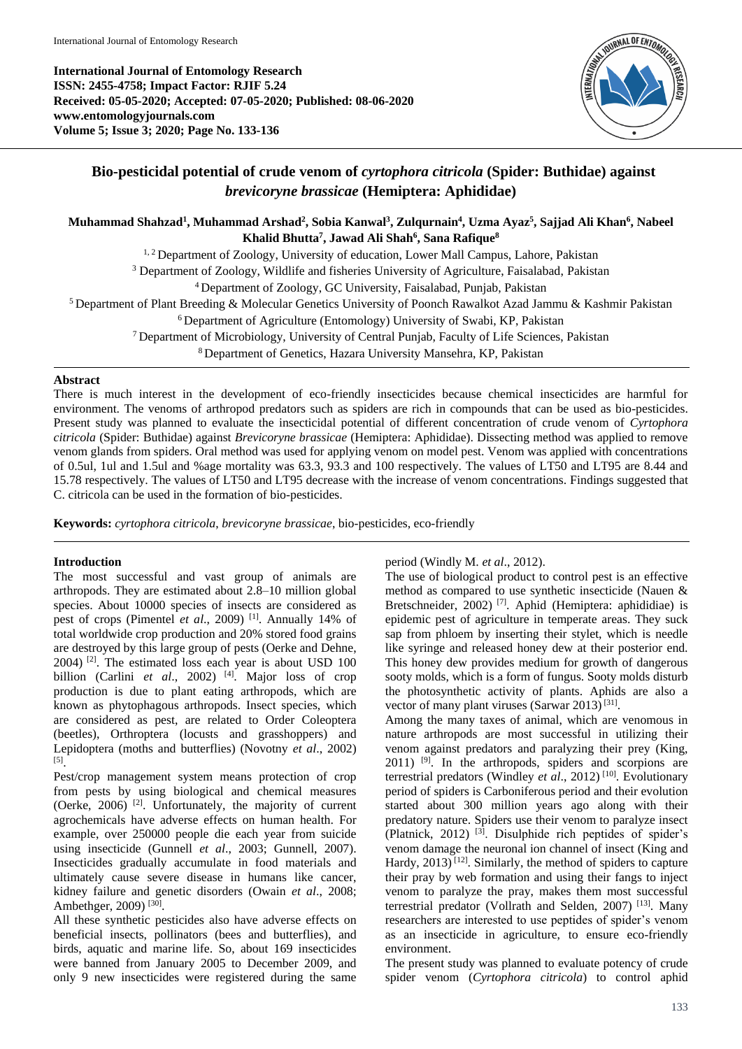**International Journal of Entomology Research ISSN: 2455-4758; Impact Factor: RJIF 5.24 Received: 05-05-2020; Accepted: 07-05-2020; Published: 08-06-2020 www.entomologyjournals.com Volume 5; Issue 3; 2020; Page No. 133-136**



# **Bio-pesticidal potential of crude venom of** *cyrtophora citricola* **(Spider: Buthidae) against**  *brevicoryne brassicae* **(Hemiptera: Aphididae)**

## **Muhammad Shahzad<sup>1</sup> , Muhammad Arshad<sup>2</sup> , Sobia Kanwal<sup>3</sup> , Zulqurnain<sup>4</sup> , Uzma Ayaz<sup>5</sup> , Sajjad Ali Khan<sup>6</sup> , Nabeel Khalid Bhutta<sup>7</sup> , Jawad Ali Shah<sup>6</sup> , Sana Rafique<sup>8</sup>**

<sup>1, 2</sup> Department of Zoology, University of education, Lower Mall Campus, Lahore, Pakistan

<sup>3</sup> Department of Zoology, Wildlife and fisheries University of Agriculture, Faisalabad, Pakistan

<sup>4</sup>Department of Zoology, GC University, Faisalabad, Punjab, Pakistan

<sup>5</sup> Department of Plant Breeding & Molecular Genetics University of Poonch Rawalkot Azad Jammu & Kashmir Pakistan

<sup>6</sup> Department of Agriculture (Entomology) University of Swabi, KP, Pakistan

<sup>7</sup> Department of Microbiology, University of Central Punjab, Faculty of Life Sciences, Pakistan

<sup>8</sup> Department of Genetics, Hazara University Mansehra, KP, Pakistan

### **Abstract**

There is much interest in the development of eco-friendly insecticides because chemical insecticides are harmful for environment. The venoms of arthropod predators such as spiders are rich in compounds that can be used as bio-pesticides. Present study was planned to evaluate the insecticidal potential of different concentration of crude venom of *Cyrtophora citricola* (Spider: Buthidae) against *Brevicoryne brassicae* (Hemiptera: Aphididae). Dissecting method was applied to remove venom glands from spiders. Oral method was used for applying venom on model pest. Venom was applied with concentrations of 0.5ul, 1ul and 1.5ul and %age mortality was 63.3, 93.3 and 100 respectively. The values of LT50 and LT95 are 8.44 and 15.78 respectively. The values of LT50 and LT95 decrease with the increase of venom concentrations. Findings suggested that C. citricola can be used in the formation of bio-pesticides.

**Keywords:** *cyrtophora citricola*, *brevicoryne brassicae*, bio-pesticides, eco-friendly

### **Introduction**

The most successful and vast group of animals are arthropods. They are estimated about 2.8–10 million global species. About 10000 species of insects are considered as pest of crops (Pimentel *et al.*, 2009) <sup>[1]</sup>. Annually 14% of total worldwide crop production and 20% stored food grains are destroyed by this large group of pests (Oerke and Dehne,  $2004$ ) <sup>[2]</sup>. The estimated loss each year is about USD 100 billion (Carlini *et al.*, 2002)<sup>[4]</sup>. Major loss of crop production is due to plant eating arthropods, which are known as phytophagous arthropods. Insect species, which are considered as pest, are related to Order Coleoptera (beetles), Orthroptera (locusts and grasshoppers) and Lepidoptera (moths and butterflies) (Novotny *et al*., 2002) [5] .

Pest/crop management system means protection of crop from pests by using biological and chemical measures (Oerke, 2006) [2]. Unfortunately, the majority of current agrochemicals have adverse effects on human health. For example, over 250000 people die each year from suicide using insecticide (Gunnell *et al*., 2003; Gunnell, 2007). Insecticides gradually accumulate in food materials and ultimately cause severe disease in humans like cancer, kidney failure and genetic disorders (Owain *et al*., 2008; Ambethger, 2009)<sup>[30]</sup>.

All these synthetic pesticides also have adverse effects on beneficial insects, pollinators (bees and butterflies), and birds, aquatic and marine life. So, about 169 insecticides were banned from January 2005 to December 2009, and only 9 new insecticides were registered during the same

### period (Windly M. *et al*., 2012).

The use of biological product to control pest is an effective method as compared to use synthetic insecticide (Nauen & Bretschneider, 2002)<sup>[7]</sup>. Aphid (Hemiptera: aphididiae) is epidemic pest of agriculture in temperate areas. They suck sap from phloem by inserting their stylet, which is needle like syringe and released honey dew at their posterior end. This honey dew provides medium for growth of dangerous sooty molds, which is a form of fungus. Sooty molds disturb the photosynthetic activity of plants. Aphids are also a vector of many plant viruses (Sarwar 2013)<sup>[31]</sup>.

Among the many taxes of animal, which are venomous in nature arthropods are most successful in utilizing their venom against predators and paralyzing their prey (King,  $2011$ ) <sup>[9]</sup>. In the arthropods, spiders and scorpions are terrestrial predators (Windley *et al*., 2012) [10]. Evolutionary period of spiders is Carboniferous period and their evolution started about 300 million years ago along with their predatory nature. Spiders use their venom to paralyze insect (Platnick, 2012) [3]. Disulphide rich peptides of spider's venom damage the neuronal ion channel of insect (King and Hardy,  $2013$ <sup>[12]</sup>. Similarly, the method of spiders to capture their pray by web formation and using their fangs to inject venom to paralyze the pray, makes them most successful terrestrial predator (Vollrath and Selden, 2007) [13]. Many researchers are interested to use peptides of spider's venom as an insecticide in agriculture, to ensure eco-friendly environment.

The present study was planned to evaluate potency of crude spider venom (*Cyrtophora citricola*) to control aphid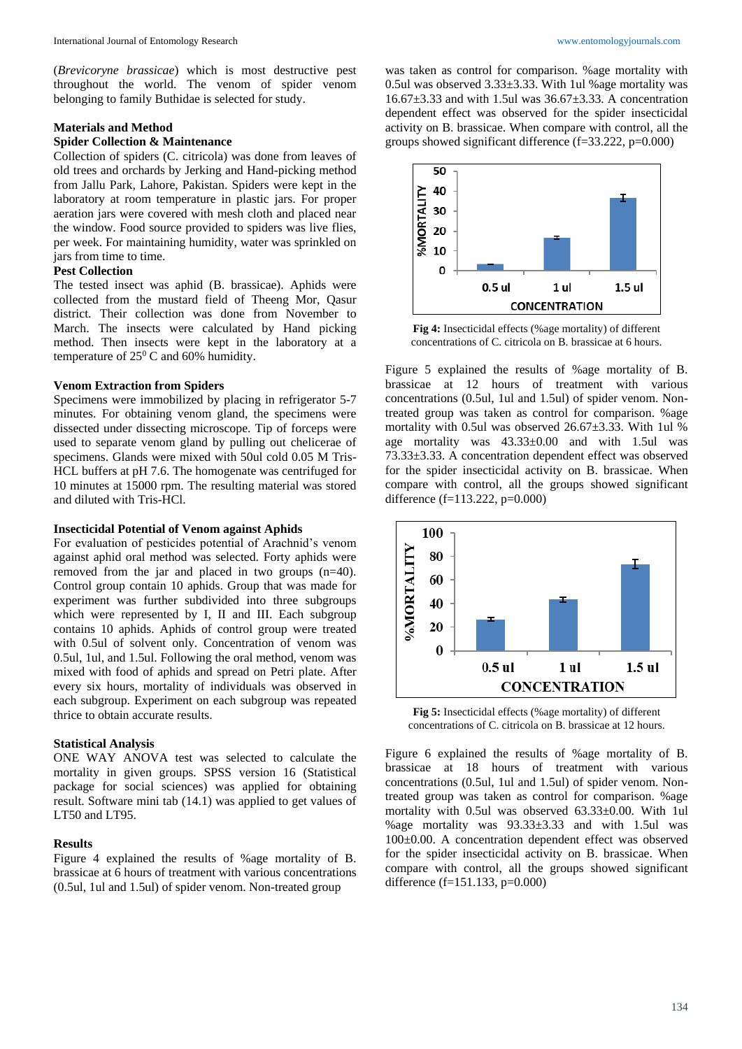(*Brevicoryne brassicae*) which is most destructive pest throughout the world. The venom of spider venom belonging to family Buthidae is selected for study.

#### **Materials and Method**

### **Spider Collection & Maintenance**

Collection of spiders (C. citricola) was done from leaves of old trees and orchards by Jerking and Hand-picking method from Jallu Park, Lahore, Pakistan. Spiders were kept in the laboratory at room temperature in plastic jars. For proper aeration jars were covered with mesh cloth and placed near the window. Food source provided to spiders was live flies, per week. For maintaining humidity, water was sprinkled on jars from time to time.

#### **Pest Collection**

The tested insect was aphid (B. brassicae). Aphids were collected from the mustard field of Theeng Mor, Qasur district. Their collection was done from November to March. The insects were calculated by Hand picking method. Then insects were kept in the laboratory at a temperature of  $25^{\circ}$  C and 60% humidity.

### **Venom Extraction from Spiders**

Specimens were immobilized by placing in refrigerator 5-7 minutes. For obtaining venom gland, the specimens were dissected under dissecting microscope. Tip of forceps were used to separate venom gland by pulling out chelicerae of specimens. Glands were mixed with 50ul cold 0.05 M Tris-HCL buffers at pH 7.6. The homogenate was centrifuged for 10 minutes at 15000 rpm. The resulting material was stored and diluted with Tris-HCl.

#### **Insecticidal Potential of Venom against Aphids**

For evaluation of pesticides potential of Arachnid's venom against aphid oral method was selected. Forty aphids were removed from the jar and placed in two groups (n=40). Control group contain 10 aphids. Group that was made for experiment was further subdivided into three subgroups which were represented by I, II and III. Each subgroup contains 10 aphids. Aphids of control group were treated with 0.5ul of solvent only. Concentration of venom was 0.5ul, 1ul, and 1.5ul. Following the oral method, venom was mixed with food of aphids and spread on Petri plate. After every six hours, mortality of individuals was observed in each subgroup. Experiment on each subgroup was repeated thrice to obtain accurate results.

#### **Statistical Analysis**

ONE WAY ANOVA test was selected to calculate the mortality in given groups. SPSS version 16 (Statistical package for social sciences) was applied for obtaining result. Software mini tab (14.1) was applied to get values of LT50 and LT95.

## **Results**

Figure 4 explained the results of %age mortality of B. brassicae at 6 hours of treatment with various concentrations (0.5ul, 1ul and 1.5ul) of spider venom. Non-treated group

was taken as control for comparison. %age mortality with 0.5ul was observed 3.33±3.33. With 1ul %age mortality was 16.67±3.33 and with 1.5ul was 36.67±3.33. A concentration dependent effect was observed for the spider insecticidal activity on B. brassicae. When compare with control, all the groups showed significant difference (f=33.222, p=0.000)



**Fig 4:** Insecticidal effects (%age mortality) of different concentrations of C. citricola on B. brassicae at 6 hours.

Figure 5 explained the results of %age mortality of B. brassicae at 12 hours of treatment with various concentrations (0.5ul, 1ul and 1.5ul) of spider venom. Nontreated group was taken as control for comparison. %age mortality with 0.5ul was observed 26.67±3.33. With 1ul % age mortality was 43.33±0.00 and with 1.5ul was 73.33±3.33. A concentration dependent effect was observed for the spider insecticidal activity on B. brassicae. When compare with control, all the groups showed significant difference (f=113.222, p=0.000)



**Fig 5:** Insecticidal effects (%age mortality) of different concentrations of C. citricola on B. brassicae at 12 hours.

Figure 6 explained the results of %age mortality of B. brassicae at 18 hours of treatment with various concentrations (0.5ul, 1ul and 1.5ul) of spider venom. Nontreated group was taken as control for comparison. %age mortality with 0.5ul was observed 63.33±0.00. With 1ul %age mortality was 93.33±3.33 and with 1.5ul was 100±0.00. A concentration dependent effect was observed for the spider insecticidal activity on B. brassicae. When compare with control, all the groups showed significant difference (f=151.133, p=0.000)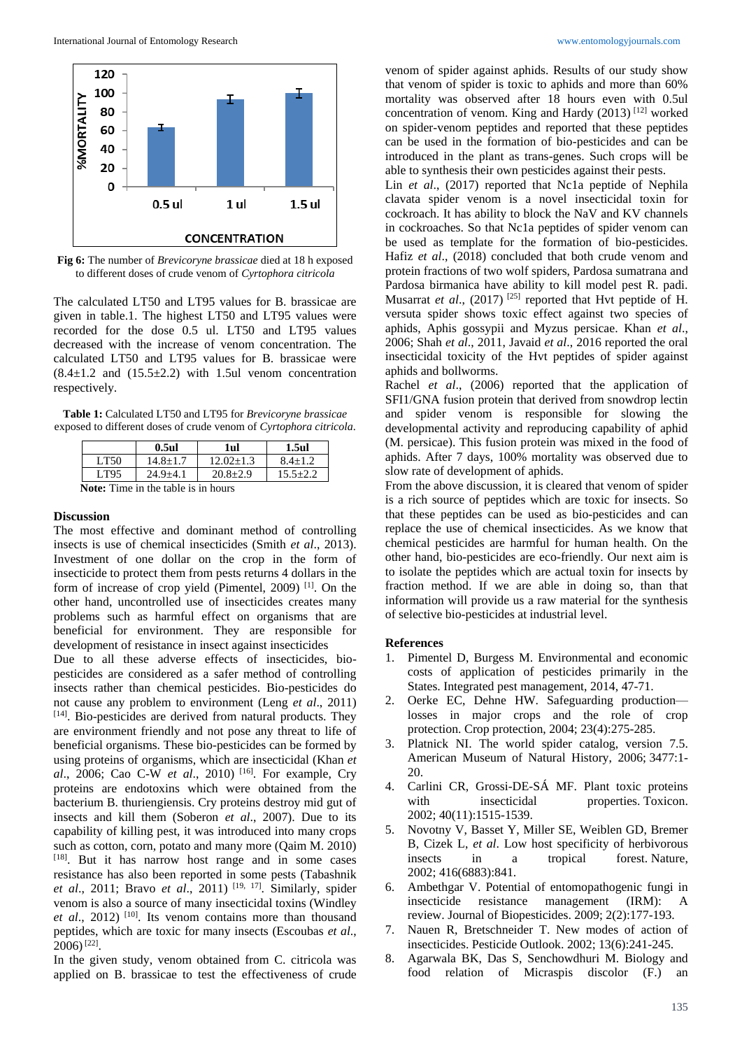

**Fig 6:** The number of *Brevicoryne brassicae* died at 18 h exposed to different doses of crude venom of *Cyrtophora citricola*

The calculated LT50 and LT95 values for B. brassicae are given in table.1. The highest LT50 and LT95 values were recorded for the dose 0.5 ul. LT50 and LT95 values decreased with the increase of venom concentration. The calculated LT50 and LT95 values for B. brassicae were  $(8.4\pm1.2 \text{ and } (15.5\pm2.2) \text{ with } 1.5$ ul venom concentration respectively.

**Table 1:** Calculated LT50 and LT95 for *Brevicoryne brassicae* exposed to different doses of crude venom of *Cyrtophora citricola*.

|                                     | $0.5$ ul       | 1ul           | 1.5ul        |
|-------------------------------------|----------------|---------------|--------------|
| LT50                                | $14.8 + 1.7$   | $12.02 + 1.3$ | $8.4 + 1.2$  |
| LT95                                | $24.9 \pm 4.1$ | $20.8 + 2.9$  | $15.5 + 2.2$ |
| Notes Time in the table is in hours |                |               |              |

**Note:** Time in the table is in hours

#### **Discussion**

The most effective and dominant method of controlling insects is use of chemical insecticides (Smith *et al*., 2013). Investment of one dollar on the crop in the form of insecticide to protect them from pests returns 4 dollars in the form of increase of crop yield (Pimentel, 2009) [1]. On the other hand, uncontrolled use of insecticides creates many problems such as harmful effect on organisms that are beneficial for environment. They are responsible for development of resistance in insect against insecticides Due to all these adverse effects of insecticides, biopesticides are considered as a safer method of controlling insects rather than chemical pesticides. Bio-pesticides do not cause any problem to environment (Leng *et al*., 2011) [14]. Bio-pesticides are derived from natural products. They are environment friendly and not pose any threat to life of beneficial organisms. These bio-pesticides can be formed by using proteins of organisms, which are insecticidal (Khan *et al*., 2006; Cao C-W *et al*., 2010) [16]. For example, Cry proteins are endotoxins which were obtained from the bacterium B. thuriengiensis. Cry proteins destroy mid gut of insects and kill them (Soberon *et al*., 2007). Due to its capability of killing pest, it was introduced into many crops such as cotton, corn, potato and many more (Qaim M. 2010) [18]. But it has narrow host range and in some cases resistance has also been reported in some pests (Tabashnik *et al*., 2011; Bravo *et al*., 2011) [19, 17] . Similarly, spider venom is also a source of many insecticidal toxins (Windley *et al*., 2012) [10]. Its venom contains more than thousand peptides, which are toxic for many insects (Escoubas *et al*.,  $2006$ <sup>[22]</sup>.

In the given study, venom obtained from C. citricola was applied on B. brassicae to test the effectiveness of crude

venom of spider against aphids. Results of our study show that venom of spider is toxic to aphids and more than 60% mortality was observed after 18 hours even with 0.5ul concentration of venom. King and Hardy (2013) [12] worked on spider-venom peptides and reported that these peptides can be used in the formation of bio-pesticides and can be introduced in the plant as trans-genes. Such crops will be able to synthesis their own pesticides against their pests.

Lin *et al*., (2017) reported that Nc1a peptide of Nephila clavata spider venom is a novel insecticidal toxin for cockroach. It has ability to block the NaV and KV channels in cockroaches. So that Nc1a peptides of spider venom can be used as template for the formation of bio-pesticides. Hafiz *et al*., (2018) concluded that both crude venom and protein fractions of two wolf spiders, Pardosa sumatrana and Pardosa birmanica have ability to kill model pest R. padi. Musarrat *et al.*, (2017)<sup>[25]</sup> reported that Hvt peptide of H. versuta spider shows toxic effect against two species of aphids, Aphis gossypii and Myzus persicae. Khan *et al*., 2006; Shah *et al*., 2011, Javaid *et al*., 2016 reported the oral insecticidal toxicity of the Hvt peptides of spider against aphids and bollworms.

Rachel *et al*., (2006) reported that the application of SFI1/GNA fusion protein that derived from snowdrop lectin and spider venom is responsible for slowing the developmental activity and reproducing capability of aphid (M. persicae). This fusion protein was mixed in the food of aphids. After 7 days, 100% mortality was observed due to slow rate of development of aphids.

From the above discussion, it is cleared that venom of spider is a rich source of peptides which are toxic for insects. So that these peptides can be used as bio-pesticides and can replace the use of chemical insecticides. As we know that chemical pesticides are harmful for human health. On the other hand, bio-pesticides are eco-friendly. Our next aim is to isolate the peptides which are actual toxin for insects by fraction method. If we are able in doing so, than that information will provide us a raw material for the synthesis of selective bio-pesticides at industrial level.

#### **References**

- 1. Pimentel D, Burgess M. Environmental and economic costs of application of pesticides primarily in the States. Integrated pest management, 2014, 47-71.
- 2. Oerke EC, Dehne HW. Safeguarding production losses in major crops and the role of crop protection. Crop protection, 2004; 23(4):275-285.
- 3. Platnick NI. The world spider catalog, version 7.5. American Museum of Natural History, 2006; 3477:1- 20.
- 4. Carlini CR, Grossi-DE-SÁ MF. Plant toxic proteins with insecticidal properties. Toxicon. 2002; 40(11):1515-1539.
- 5. Novotny V, Basset Y, Miller SE, Weiblen GD, Bremer B, Cizek L, *et al*. Low host specificity of herbivorous insects in a tropical forest. Nature, 2002; 416(6883):841.
- 6. Ambethgar V. Potential of entomopathogenic fungi in insecticide resistance management (IRM): A review. Journal of Biopesticides. 2009; 2(2):177-193.
- 7. Nauen R, Bretschneider T. New modes of action of insecticides. Pesticide Outlook. 2002; 13(6):241-245.
- 8. Agarwala BK, Das S, Senchowdhuri M. Biology and food relation of Micraspis discolor (F.) an